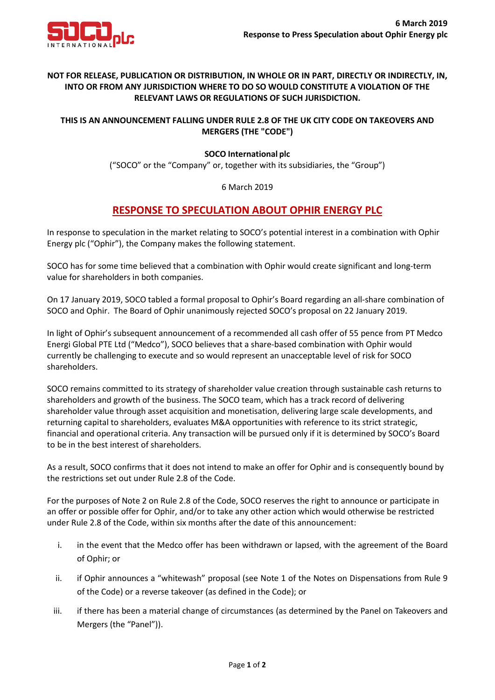

## **NOT FOR RELEASE, PUBLICATION OR DISTRIBUTION, IN WHOLE OR IN PART, DIRECTLY OR INDIRECTLY, IN, INTO OR FROM ANY JURISDICTION WHERE TO DO SO WOULD CONSTITUTE A VIOLATION OF THE RELEVANT LAWS OR REGULATIONS OF SUCH JURISDICTION.**

## **THIS IS AN ANNOUNCEMENT FALLING UNDER RULE 2.8 OF THE UK CITY CODE ON TAKEOVERS AND MERGERS (THE "CODE")**

### **SOCO International plc**

("SOCO" or the "Company" or, together with its subsidiaries, the "Group")

#### 6 March 2019

# **RESPONSE TO SPECULATION ABOUT OPHIR ENERGY PLC**

In response to speculation in the market relating to SOCO's potential interest in a combination with Ophir Energy plc ("Ophir"), the Company makes the following statement.

SOCO has for some time believed that a combination with Ophir would create significant and long-term value for shareholders in both companies.

On 17 January 2019, SOCO tabled a formal proposal to Ophir's Board regarding an all-share combination of SOCO and Ophir. The Board of Ophir unanimously rejected SOCO's proposal on 22 January 2019.

In light of Ophir's subsequent announcement of a recommended all cash offer of 55 pence from PT Medco Energi Global PTE Ltd ("Medco"), SOCO believes that a share-based combination with Ophir would currently be challenging to execute and so would represent an unacceptable level of risk for SOCO shareholders.

SOCO remains committed to its strategy of shareholder value creation through sustainable cash returns to shareholders and growth of the business. The SOCO team, which has a track record of delivering shareholder value through asset acquisition and monetisation, delivering large scale developments, and returning capital to shareholders, evaluates M&A opportunities with reference to its strict strategic, financial and operational criteria. Any transaction will be pursued only if it is determined by SOCO's Board to be in the best interest of shareholders.

As a result, SOCO confirms that it does not intend to make an offer for Ophir and is consequently bound by the restrictions set out under Rule 2.8 of the Code.

For the purposes of Note 2 on Rule 2.8 of the Code, SOCO reserves the right to announce or participate in an offer or possible offer for Ophir, and/or to take any other action which would otherwise be restricted under Rule 2.8 of the Code, within six months after the date of this announcement:

- i. in the event that the Medco offer has been withdrawn or lapsed, with the agreement of the Board of Ophir; or
- ii. if Ophir announces a "whitewash" proposal (see Note 1 of the Notes on Dispensations from Rule 9 of the Code) or a reverse takeover (as defined in the Code); or
- iii. if there has been a material change of circumstances (as determined by the Panel on Takeovers and Mergers (the "Panel")).